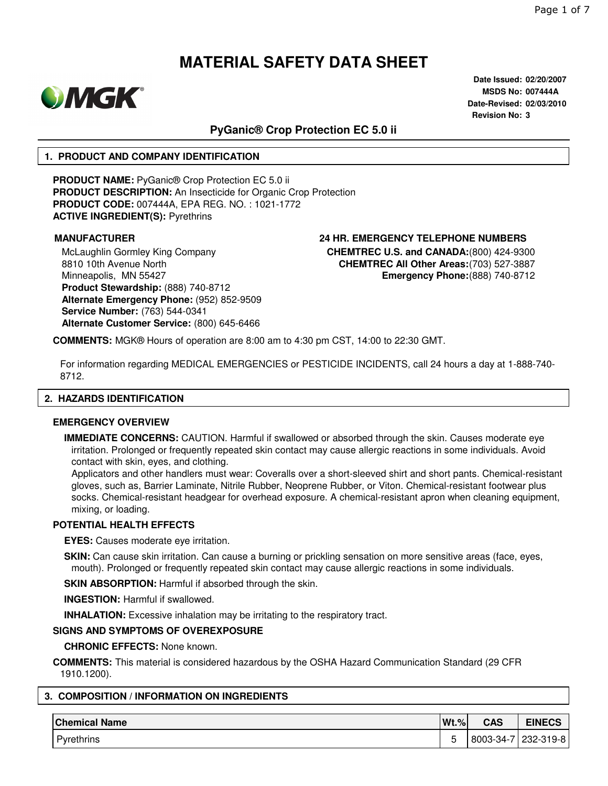

**Date Issued: 02/20/2007 MSDS No: 007444A Date-Revised: 02/03/2010 Revision No: 3**

## **PyGanic® Crop Protection EC 5.0 ii**

#### **1. PRODUCT AND COMPANY IDENTIFICATION**

**PRODUCT NAME:** PyGanic® Crop Protection EC 5.0 ii **PRODUCT DESCRIPTION:** An Insecticide for Organic Crop Protection **PRODUCT CODE:** 007444A, EPA REG. NO. : 1021-1772 **ACTIVE INGREDIENT(S):** Pyrethrins

McLaughlin Gormley King Company 8810 10th Avenue North Minneapolis, MN 55427 **Product Stewardship:** (888) 740-8712 **Alternate Emergency Phone:** (952) 852-9509 **Service Number:** (763) 544-0341 **Alternate Customer Service:** (800) 645-6466

# **MANUFACTURER 24 HR. EMERGENCY TELEPHONE NUMBERS**

**CHEMTREC U.S. and CANADA:**(800) 424-9300 **CHEMTREC All Other Areas:**(703) 527-3887 **Emergency Phone:**(888) 740-8712

**COMMENTS:** MGK® Hours of operation are 8:00 am to 4:30 pm CST, 14:00 to 22:30 GMT.

For information regarding MEDICAL EMERGENCIES or PESTICIDE INCIDENTS, call 24 hours a day at 1-888-740- 8712.

#### **2. HAZARDS IDENTIFICATION**

#### **EMERGENCY OVERVIEW**

**IMMEDIATE CONCERNS:** CAUTION. Harmful if swallowed or absorbed through the skin. Causes moderate eye irritation. Prolonged or frequently repeated skin contact may cause allergic reactions in some individuals. Avoid contact with skin, eyes, and clothing.

Applicators and other handlers must wear: Coveralls over a short-sleeved shirt and short pants. Chemical-resistant gloves, such as, Barrier Laminate, Nitrile Rubber, Neoprene Rubber, or Viton. Chemical-resistant footwear plus socks. Chemical-resistant headgear for overhead exposure. A chemical-resistant apron when cleaning equipment, mixing, or loading.

### **POTENTIAL HEALTH EFFECTS**

**EYES:** Causes moderate eye irritation.

**SKIN:** Can cause skin irritation. Can cause a burning or prickling sensation on more sensitive areas (face, eyes, mouth). Prolonged or frequently repeated skin contact may cause allergic reactions in some individuals.

**SKIN ABSORPTION: Harmful if absorbed through the skin.** 

**INGESTION:** Harmful if swallowed.

**INHALATION:** Excessive inhalation may be irritating to the respiratory tract.

#### **SIGNS AND SYMPTOMS OF OVEREXPOSURE**

**CHRONIC EFFECTS:** None known.

**COMMENTS:** This material is considered hazardous by the OSHA Hazard Communication Standard (29 CFR 1910.1200).

### **3. COMPOSITION / INFORMATION ON INGREDIENTS**

| <b>Chemical Name</b> | $Wt.\%$ | <b>CAS</b> | <b>EINECS</b> |
|----------------------|---------|------------|---------------|
| Pyrethrins           | ∽<br>J  | 8003-34-7  | 232-319-8     |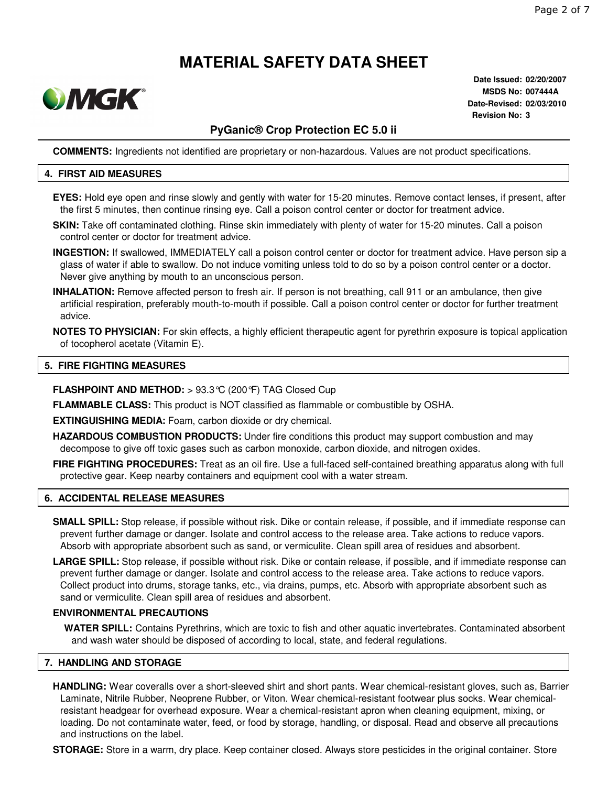

**Date Issued: 02/20/2007 MSDS No: 007444A Date-Revised: 02/03/2010 Revision No: 3**

# **PyGanic® Crop Protection EC 5.0 ii**

**COMMENTS:** Ingredients not identified are proprietary or non-hazardous. Values are not product specifications.

#### **4. FIRST AID MEASURES**

- **EYES:** Hold eye open and rinse slowly and gently with water for 15-20 minutes. Remove contact lenses, if present, after the first 5 minutes, then continue rinsing eye. Call a poison control center or doctor for treatment advice.
- **SKIN:** Take off contaminated clothing. Rinse skin immediately with plenty of water for 15-20 minutes. Call a poison control center or doctor for treatment advice.
- **INGESTION:** If swallowed, IMMEDIATELY call a poison control center or doctor for treatment advice. Have person sip a glass of water if able to swallow. Do not induce vomiting unless told to do so by a poison control center or a doctor. Never give anything by mouth to an unconscious person.
- **INHALATION:** Remove affected person to fresh air. If person is not breathing, call 911 or an ambulance, then give artificial respiration, preferably mouth-to-mouth if possible. Call a poison control center or doctor for further treatment advice.
- **NOTES TO PHYSICIAN:** For skin effects, a highly efficient therapeutic agent for pyrethrin exposure is topical application of tocopherol acetate (Vitamin E).

#### **5. FIRE FIGHTING MEASURES**

- **FLASHPOINT AND METHOD:** > 93.3°C (200°F) TAG Closed Cup
- **FLAMMABLE CLASS:** This product is NOT classified as flammable or combustible by OSHA.

**EXTINGUISHING MEDIA:** Foam, carbon dioxide or dry chemical.

- **HAZARDOUS COMBUSTION PRODUCTS:** Under fire conditions this product may support combustion and may decompose to give off toxic gases such as carbon monoxide, carbon dioxide, and nitrogen oxides.
- **FIRE FIGHTING PROCEDURES:** Treat as an oil fire. Use a full-faced self-contained breathing apparatus along with full protective gear. Keep nearby containers and equipment cool with a water stream.

#### **6. ACCIDENTAL RELEASE MEASURES**

- **SMALL SPILL:** Stop release, if possible without risk. Dike or contain release, if possible, and if immediate response can prevent further damage or danger. Isolate and control access to the release area. Take actions to reduce vapors. Absorb with appropriate absorbent such as sand, or vermiculite. Clean spill area of residues and absorbent.
- **LARGE SPILL:** Stop release, if possible without risk. Dike or contain release, if possible, and if immediate response can prevent further damage or danger. Isolate and control access to the release area. Take actions to reduce vapors. Collect product into drums, storage tanks, etc., via drains, pumps, etc. Absorb with appropriate absorbent such as sand or vermiculite. Clean spill area of residues and absorbent.

#### **ENVIRONMENTAL PRECAUTIONS**

**WATER SPILL:** Contains Pyrethrins, which are toxic to fish and other aquatic invertebrates. Contaminated absorbent and wash water should be disposed of according to local, state, and federal regulations.

#### **7. HANDLING AND STORAGE**

**HANDLING:** Wear coveralls over a short-sleeved shirt and short pants. Wear chemical-resistant gloves, such as, Barrier Laminate, Nitrile Rubber, Neoprene Rubber, or Viton. Wear chemical-resistant footwear plus socks. Wear chemicalresistant headgear for overhead exposure. Wear a chemical-resistant apron when cleaning equipment, mixing, or loading. Do not contaminate water, feed, or food by storage, handling, or disposal. Read and observe all precautions and instructions on the label.

**STORAGE:** Store in a warm, dry place. Keep container closed. Always store pesticides in the original container. Store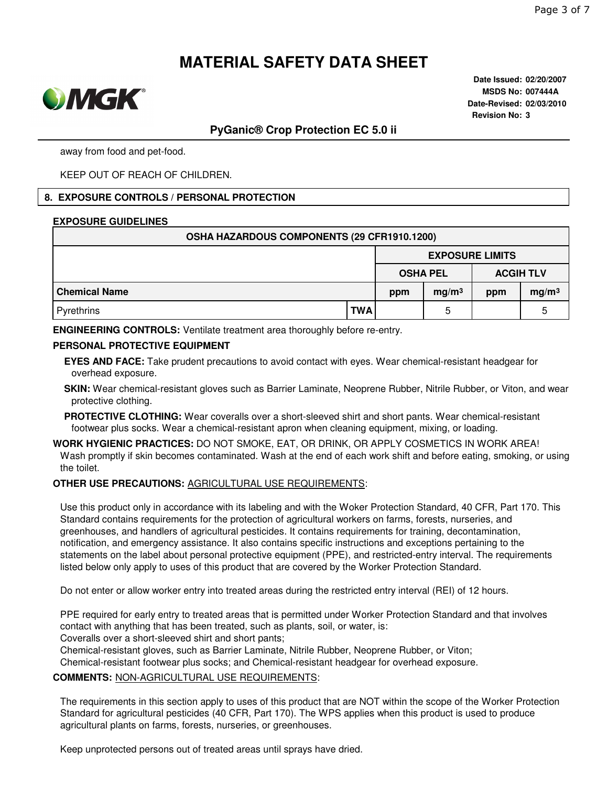

**Date Issued: 02/20/2007 MSDS No: 007444A Date-Revised: 02/03/2010 Revision No: 3**

### **PyGanic® Crop Protection EC 5.0 ii**

away from food and pet-food.

KEEP OUT OF REACH OF CHILDREN.

#### **8. EXPOSURE CONTROLS / PERSONAL PROTECTION**

#### **EXPOSURE GUIDELINES**

| OSHA HAZARDOUS COMPONENTS (29 CFR1910.1200) |            |                                     |                   |     |                   |  |  |
|---------------------------------------------|------------|-------------------------------------|-------------------|-----|-------------------|--|--|
|                                             |            | <b>EXPOSURE LIMITS</b>              |                   |     |                   |  |  |
|                                             |            | <b>OSHA PEL</b><br><b>ACGIH TLV</b> |                   |     |                   |  |  |
| <b>Chemical Name</b>                        |            | ppm                                 | mg/m <sup>3</sup> | ppm | mg/m <sup>3</sup> |  |  |
| Pyrethrins                                  | <b>TWA</b> |                                     | 5                 |     | b                 |  |  |

**ENGINEERING CONTROLS:** Ventilate treatment area thoroughly before re-entry.

#### **PERSONAL PROTECTIVE EQUIPMENT**

**EYES AND FACE:** Take prudent precautions to avoid contact with eyes. Wear chemical-resistant headgear for overhead exposure.

**SKIN:** Wear chemical-resistant gloves such as Barrier Laminate, Neoprene Rubber, Nitrile Rubber, or Viton, and wear protective clothing.

**PROTECTIVE CLOTHING:** Wear coveralls over a short-sleeved shirt and short pants. Wear chemical-resistant footwear plus socks. Wear a chemical-resistant apron when cleaning equipment, mixing, or loading.

**WORK HYGIENIC PRACTICES:** DO NOT SMOKE, EAT, OR DRINK, OR APPLY COSMETICS IN WORK AREA! Wash promptly if skin becomes contaminated. Wash at the end of each work shift and before eating, smoking, or using the toilet.

#### **OTHER USE PRECAUTIONS:** AGRICULTURAL USE REQUIREMENTS:

Use this product only in accordance with its labeling and with the Woker Protection Standard, 40 CFR, Part 170. This Standard contains requirements for the protection of agricultural workers on farms, forests, nurseries, and greenhouses, and handlers of agricultural pesticides. It contains requirements for training, decontamination, notification, and emergency assistance. It also contains specific instructions and exceptions pertaining to the statements on the label about personal protective equipment (PPE), and restricted-entry interval. The requirements listed below only apply to uses of this product that are covered by the Worker Protection Standard.

Do not enter or allow worker entry into treated areas during the restricted entry interval (REI) of 12 hours.

PPE required for early entry to treated areas that is permitted under Worker Protection Standard and that involves contact with anything that has been treated, such as plants, soil, or water, is:

Coveralls over a short-sleeved shirt and short pants;

Chemical-resistant gloves, such as Barrier Laminate, Nitrile Rubber, Neoprene Rubber, or Viton;

Chemical-resistant footwear plus socks; and Chemical-resistant headgear for overhead exposure.

#### **COMMENTS:** NON-AGRICULTURAL USE REQUIREMENTS:

The requirements in this section apply to uses of this product that are NOT within the scope of the Worker Protection Standard for agricultural pesticides (40 CFR, Part 170). The WPS applies when this product is used to produce agricultural plants on farms, forests, nurseries, or greenhouses.

Keep unprotected persons out of treated areas until sprays have dried.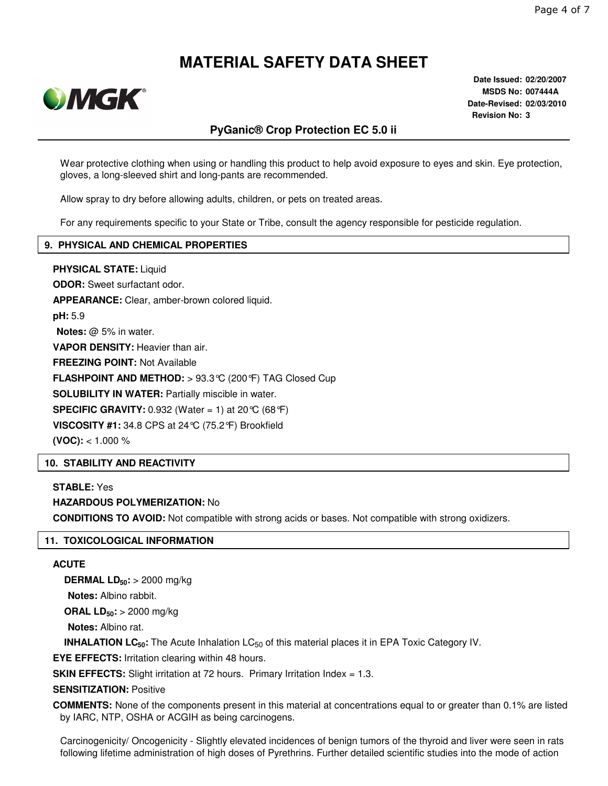

**Date Issued: 02/20/2007 MSDS No: 007444A Date-Revised: 02/03/2010 Revision No: 3**

# **PyGanic® Crop Protection EC 5.0 ii**

Wear protective clothing when using or handling this product to help avoid exposure to eyes and skin. Eye protection, gloves, a long-sleeved shirt and long-pants are recommended.

Allow spray to dry before allowing adults, children, or pets on treated areas.

For any requirements specific to your State or Tribe, consult the agency responsible for pesticide regulation.

### **9. PHYSICAL AND CHEMICAL PROPERTIES**

**PHYSICAL STATE:** Liquid **ODOR:** Sweet surfactant odor. **APPEARANCE:** Clear, amber-brown colored liquid. **pH:** 5.9 **Notes:** @ 5% in water. **VAPOR DENSITY:** Heavier than air. **FREEZING POINT:** Not Available **FLASHPOINT AND METHOD:** > 93.3°C (200°F) TAG Closed Cup **SOLUBILITY IN WATER:** Partially miscible in water. **SPECIFIC GRAVITY:** 0.932 (Water = 1) at 20 °C (68 °F) **VISCOSITY #1:** 34.8 CPS at 24°C (75.2°F) Brookfield **(VOC):** < 1.000 %

### **10. STABILITY AND REACTIVITY**

**STABLE:** Yes **HAZARDOUS POLYMERIZATION:** No

**CONDITIONS TO AVOID:** Not compatible with strong acids or bases. Not compatible with strong oxidizers.

### **11. TOXICOLOGICAL INFORMATION**

#### **ACUTE**

**DERMAL LD50:** > 2000 mg/kg

**Notes:** Albino rabbit.

**ORAL LD50:** > 2000 mg/kg

**Notes:** Albino rat.

**INHALATION LC<sub>50</sub>**: The Acute Inhalation LC<sub>50</sub> of this material places it in EPA Toxic Category IV.

**EYE EFFECTS:** Irritation clearing within 48 hours.

**SKIN EFFECTS:** Slight irritation at 72 hours. Primary Irritation Index = 1.3.

#### **SENSITIZATION:** Positive

**COMMENTS:** None of the components present in this material at concentrations equal to or greater than 0.1% are listed by IARC, NTP, OSHA or ACGIH as being carcinogens.

Carcinogenicity/ Oncogenicity - Slightly elevated incidences of benign tumors of the thyroid and liver were seen in rats following lifetime administration of high doses of Pyrethrins. Further detailed scientific studies into the mode of action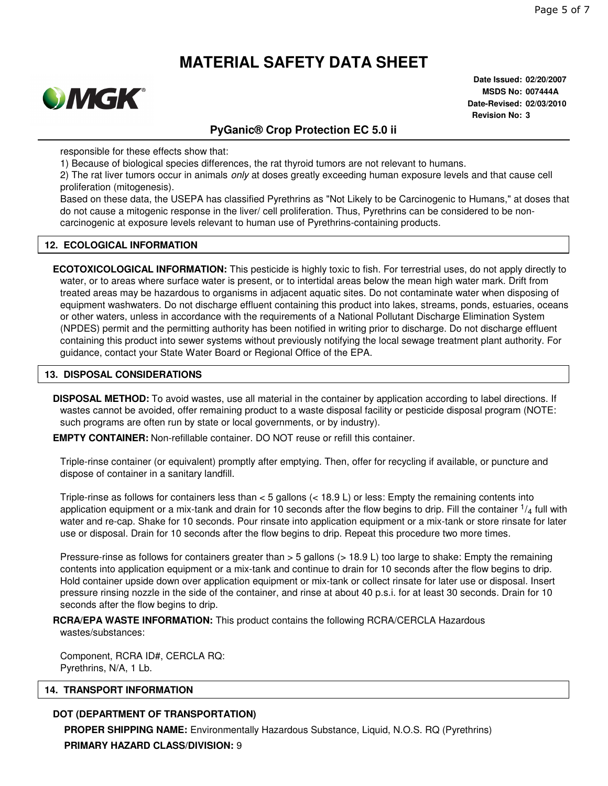

**Date Issued: 02/20/2007 MSDS No: 007444A Date-Revised: 02/03/2010 Revision No: 3**

## **PyGanic® Crop Protection EC 5.0 ii**

responsible for these effects show that:

1) Because of biological species differences, the rat thyroid tumors are not relevant to humans.

2) The rat liver tumors occur in animals *only* at doses greatly exceeding human exposure levels and that cause cell proliferation (mitogenesis).

Based on these data, the USEPA has classified Pyrethrins as "Not Likely to be Carcinogenic to Humans," at doses that do not cause a mitogenic response in the liver/ cell proliferation. Thus, Pyrethrins can be considered to be noncarcinogenic at exposure levels relevant to human use of Pyrethrins-containing products.

#### **12. ECOLOGICAL INFORMATION**

**ECOTOXICOLOGICAL INFORMATION:** This pesticide is highly toxic to fish. For terrestrial uses, do not apply directly to water, or to areas where surface water is present, or to intertidal areas below the mean high water mark. Drift from treated areas may be hazardous to organisms in adjacent aquatic sites. Do not contaminate water when disposing of equipment washwaters. Do not discharge effluent containing this product into lakes, streams, ponds, estuaries, oceans or other waters, unless in accordance with the requirements of a National Pollutant Discharge Elimination System (NPDES) permit and the permitting authority has been notified in writing prior to discharge. Do not discharge effluent containing this product into sewer systems without previously notifying the local sewage treatment plant authority. For guidance, contact your State Water Board or Regional Office of the EPA.

#### **13. DISPOSAL CONSIDERATIONS**

**DISPOSAL METHOD:** To avoid wastes, use all material in the container by application according to label directions. If wastes cannot be avoided, offer remaining product to a waste disposal facility or pesticide disposal program (NOTE: such programs are often run by state or local governments, or by industry).

**EMPTY CONTAINER:** Non-refillable container. DO NOT reuse or refill this container.

Triple-rinse container (or equivalent) promptly after emptying. Then, offer for recycling if available, or puncture and dispose of container in a sanitary landfill.

Triple-rinse as follows for containers less than < 5 gallons (< 18.9 L) or less: Empty the remaining contents into application equipment or a mix-tank and drain for 10 seconds after the flow begins to drip. Fill the container  $\frac{1}{4}$  full with water and re-cap. Shake for 10 seconds. Pour rinsate into application equipment or a mix-tank or store rinsate for later use or disposal. Drain for 10 seconds after the flow begins to drip. Repeat this procedure two more times.

Pressure-rinse as follows for containers greater than > 5 gallons (> 18.9 L) too large to shake: Empty the remaining contents into application equipment or a mix-tank and continue to drain for 10 seconds after the flow begins to drip. Hold container upside down over application equipment or mix-tank or collect rinsate for later use or disposal. Insert pressure rinsing nozzle in the side of the container, and rinse at about 40 p.s.i. for at least 30 seconds. Drain for 10 seconds after the flow begins to drip.

**RCRA/EPA WASTE INFORMATION:** This product contains the following RCRA/CERCLA Hazardous wastes/substances:

Component, RCRA ID#, CERCLA RQ: Pyrethrins, N/A, 1 Lb.

#### **14. TRANSPORT INFORMATION**

#### **DOT (DEPARTMENT OF TRANSPORTATION)**

**PROPER SHIPPING NAME:** Environmentally Hazardous Substance, Liquid, N.O.S. RQ (Pyrethrins) **PRIMARY HAZARD CLASS/DIVISION:** 9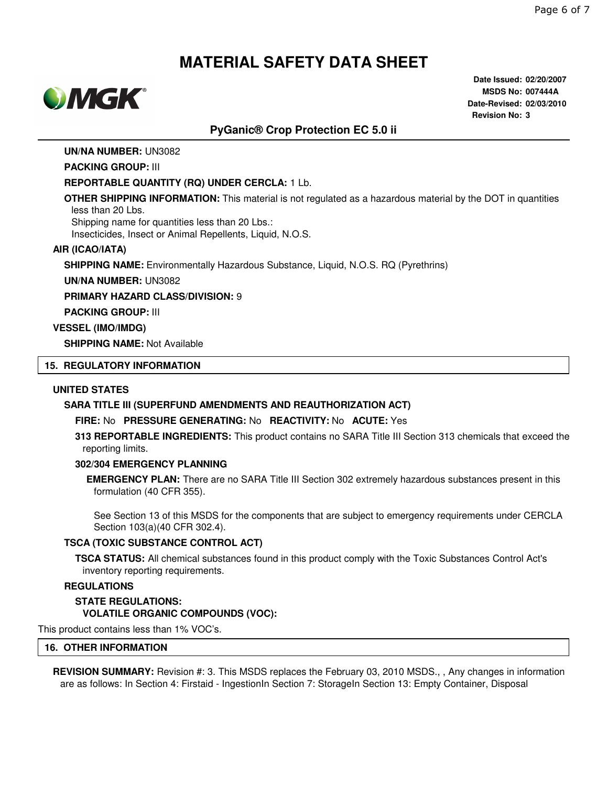

**Date Issued: 02/20/2007 MSDS No: 007444A Date-Revised: 02/03/2010 Revision No: 3**

## **PyGanic® Crop Protection EC 5.0 ii**

#### **UN/NA NUMBER:** UN3082

#### **PACKING GROUP:** III

#### **REPORTABLE QUANTITY (RQ) UNDER CERCLA:** 1 Lb.

**OTHER SHIPPING INFORMATION:** This material is not regulated as a hazardous material by the DOT in quantities less than 20 Lbs.

Shipping name for quantities less than 20 Lbs.:

Insecticides, Insect or Animal Repellents, Liquid, N.O.S.

#### **AIR (ICAO/IATA)**

**SHIPPING NAME:** Environmentally Hazardous Substance, Liquid, N.O.S. RQ (Pyrethrins)

**UN/NA NUMBER:** UN3082

**PRIMARY HAZARD CLASS/DIVISION:** 9

**PACKING GROUP:** III

#### **VESSEL (IMO/IMDG)**

**SHIPPING NAME:** Not Available

### **15. REGULATORY INFORMATION**

#### **UNITED STATES**

#### **SARA TITLE III (SUPERFUND AMENDMENTS AND REAUTHORIZATION ACT)**

#### **FIRE:** No **PRESSURE GENERATING:** No **REACTIVITY:** No **ACUTE:** Yes

**313 REPORTABLE INGREDIENTS:** This product contains no SARA Title III Section 313 chemicals that exceed the reporting limits.

#### **302/304 EMERGENCY PLANNING**

**EMERGENCY PLAN:** There are no SARA Title III Section 302 extremely hazardous substances present in this formulation (40 CFR 355).

See Section 13 of this MSDS for the components that are subject to emergency requirements under CERCLA Section 103(a)(40 CFR 302.4).

#### **TSCA (TOXIC SUBSTANCE CONTROL ACT)**

**TSCA STATUS:** All chemical substances found in this product comply with the Toxic Substances Control Act's inventory reporting requirements.

#### **REGULATIONS**

**STATE REGULATIONS: VOLATILE ORGANIC COMPOUNDS (VOC):**

This product contains less than 1% VOC's.

#### **16. OTHER INFORMATION**

**REVISION SUMMARY:** Revision #: 3. This MSDS replaces the February 03, 2010 MSDS., , Any changes in information are as follows: In Section 4: Firstaid - IngestionIn Section 7: StorageIn Section 13: Empty Container, Disposal